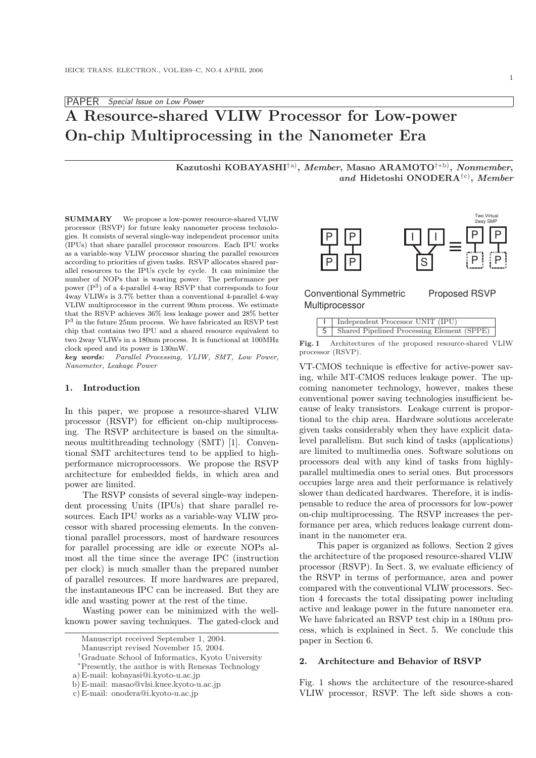# A Resource-shared VLIW Processor for Low-power On-chip Multiprocessing in the Nanometer Era

Kazutoshi KOBAYASHI†a), *Member*, Masao ARAMOTO<sup>†∗b)</sup>, *Nonmember*, and Hidetoshi ONODERA<sup>†c)</sup>, Member

SUMMARY We propose a low-power resource-shared VLIW processor (RSVP) for future leaky nanometer process technologies. It consists of several single-way independent processor units (IPUs) that share parallel processor resources. Each IPU works as a variable-way VLIW processor sharing the parallel resources according to priorities of given tasks. RSVP allocates shared parallel resources to the IPUs cycle by cycle. It can minimize the number of NOPs that is wasting power. The performance per power (P<sup>3</sup> ) of a 4-parallel 4-way RSVP that corresponds to four 4way VLIWs is 3.7% better than a conventional 4-parallel 4-way VLIW multiprocessor in the current 90nm process. We estimate that the RSVP achieves 36% less leakage power and 28% better P<sup>3</sup> in the future 25nm process. We have fabricated an RSVP test chip that contains two IPU and a shared resource equivalent to two 2way VLIWs in a 180nm process. It is functional at 100MHz clock speed and its power is 130mW.

key words: Parallel Processing, VLIW, SMT, Low Power, Nanometer, Leakage Power

## 1. Introduction

In this paper, we propose a resource-shared VLIW processor (RSVP) for efficient on-chip multiprocessing. The RSVP architecture is based on the simultaneous multithreading technology (SMT) [1]. Conventional SMT architectures tend to be applied to highperformance microprocessors. We propose the RSVP architecture for embedded fields, in which area and power are limited.

The RSVP consists of several single-way independent processing Units (IPUs) that share parallel resources. Each IPU works as a variable-way VLIW processor with shared processing elements. In the conventional parallel processors, most of hardware resources for parallel processing are idle or execute NOPs almost all the time since the average IPC (instruction per clock) is much smaller than the prepared number of parallel resources. If more hardwares are prepared, the instantaneous IPC can be increased. But they are idle and wasting power at the rest of the time. conting to priorities of syien tasks. RSYP alones are relies absent parameter of NOPs that is vasting power. The performance per involvements of the main somewhich all every that is various of NUM all every the main solut

Wasting power can be minimized with the wellknown power saving techniques. The gated-clock and



## Conventional Symmetric Multiprocessor

| Proposed RSVP |  |
|---------------|--|
|---------------|--|

| Independent Processor UNIT (IPU)             |
|----------------------------------------------|
| S Shared Pipelined Processing Element (SPPE) |

Fig. 1 Architectures of the proposed resource-shared VLIW processor (RSVP).

VT-CMOS technique is effective for active-power saving, while MT-CMOS reduces leakage power. The upcoming nanometer technology, however, makes these conventional power saving technologies insufficient because of leaky transistors. Leakage current is proportional to the chip area. Hardware solutions accelerate given tasks considerably when they have explicit datalevel parallelism. But such kind of tasks (applications) are limited to multimedia ones. Software solutions on processors deal with any kind of tasks from highlyparallel multimedia ones to serial ones. But processors occupies large area and their performance is relatively slower than dedicated hardwares. Therefore, it is indispensable to reduce the area of processors for low-power on-chip multiprocessing. The RSVP increases the performance per area, which reduces leakage current dominant in the nanometer era.

This paper is organized as follows. Section 2 gives the architecture of the proposed resource-shared VLIW processor (RSVP). In Sect. 3, we evaluate efficiency of the RSVP in terms of performance, area and power compared with the conventional VLIW processors. Section 4 forecasts the total dissipating power including active and leakage power in the future nanometer era. We have fabricated an RSVP test chip in a 180nm process, which is explained in Sect. 5. We conclude this paper in Section 6.

#### 2. Architecture and Behavior of RSVP

Fig. 1 shows the architecture of the resource-shared VLIW processor, RSVP. The left side shows a con-

Manuscript received September 1, 2004.

Manuscript revised November 15, 2004.

<sup>†</sup>Graduate School of Informatics, Kyoto University

<sup>∗</sup>Presently, the author is with Renesas Technology

a) E-mail: kobayasi@i.kyoto-u.ac.jp

b) E-mail: masao@vlsi.kuee.kyoto-u.ac.jp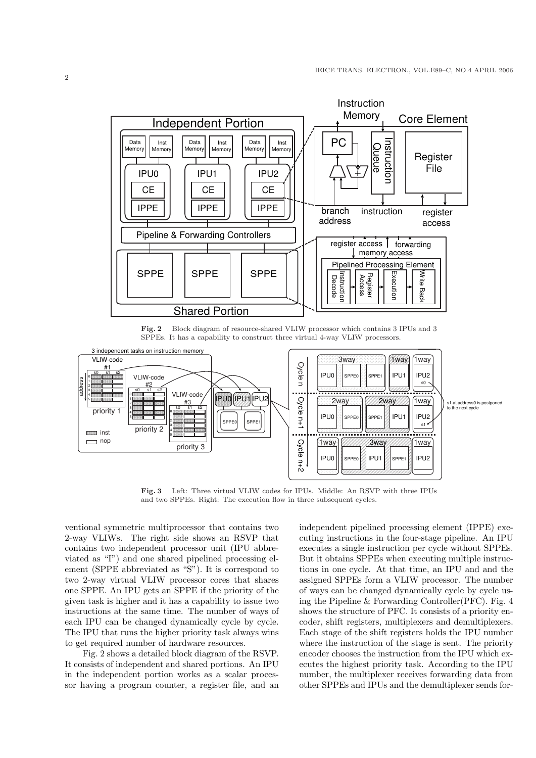

Fig. 2 Block diagram of resource-shared VLIW processor which contains 3 IPUs and 3 SPPEs. It has a capability to construct three virtual 4-way VLIW processors.



Fig. 3 Left: Three virtual VLIW codes for IPUs. Middle: An RSVP with three IPUs and two SPPEs. Right: The execution flow in three subsequent cycles.

ventional symmetric multiprocessor that contains two 2-way VLIWs. The right side shows an RSVP that contains two independent processor unit (IPU abbreviated as "I") and one shared pipelined processing element (SPPE abbreviated as "S"). It is correspond to two 2-way virtual VLIW processor cores that shares one SPPE. An IPU gets an SPPE if the priority of the given task is higher and it has a capability to issue two instructions at the same time. The number of ways of each IPU can be changed dynamically cycle by cycle. The IPU that runs the higher priority task always wins to get required number of hardware resources.

Fig. 2 shows a detailed block diagram of the RSVP. It consists of independent and shared portions. An IPU in the independent portion works as a scalar processor having a program counter, a register file, and an independent pipelined processing element (IPPE) executing instructions in the four-stage pipeline. An IPU executes a single instruction per cycle without SPPEs. But it obtains SPPEs when executing multiple instructions in one cycle. At that time, an IPU and and the assigned SPPEs form a VLIW processor. The number of ways can be changed dynamically cycle by cycle using the Pipeline & Forwarding Controller(PFC). Fig. 4 shows the structure of PFC. It consists of a priority encoder, shift registers, multiplexers and demultiplexers. Each stage of the shift registers holds the IPU number where the instruction of the stage is sent. The priority encoder chooses the instruction from the IPU which executes the highest priority task. According to the IPU number, the multiplexer receives forwarding data from other SPPEs and IPUs and the demultiplexer sends for-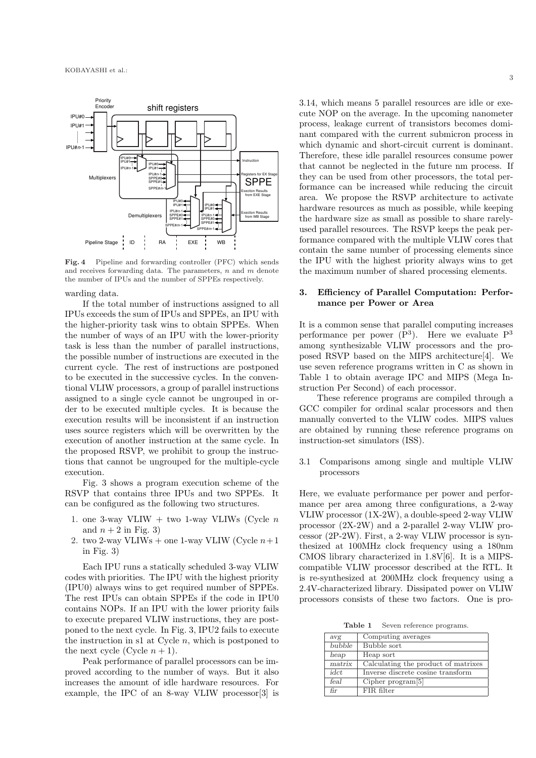

Fig. 4 Pipeline and forwarding controller (PFC) which sends and receives forwarding data. The parameters, n and m denote the number of IPUs and the number of SPPEs respectively.

warding data.

If the total number of instructions assigned to all IPUs exceeds the sum of IPUs and SPPEs, an IPU with the higher-priority task wins to obtain SPPEs. When the number of ways of an IPU with the lower-priority task is less than the number of parallel instructions, the possible number of instructions are executed in the current cycle. The rest of instructions are postponed to be executed in the successive cycles. In the conventional VLIW processors, a group of parallel instructions assigned to a single cycle cannot be ungrouped in order to be executed multiple cycles. It is because the execution results will be inconsistent if an instruction uses source registers which will be overwritten by the execution of another instruction at the same cycle. In the proposed RSVP, we prohibit to group the instructions that cannot be ungrouped for the multiple-cycle execution.

Fig. 3 shows a program execution scheme of the RSVP that contains three IPUs and two SPPEs. It can be configured as the following two structures.

- 1. one 3-way VLIW + two 1-way VLIWs (Cycle  $n$ and  $n + 2$  in Fig. 3)
- 2. two 2-way VLIWs + one 1-way VLIW (Cycle  $n+1$ in Fig. 3)

Each IPU runs a statically scheduled 3-way VLIW codes with priorities. The IPU with the highest priority (IPU0) always wins to get required number of SPPEs. The rest IPUs can obtain SPPEs if the code in IPU0 contains NOPs. If an IPU with the lower priority fails to execute prepared VLIW instructions, they are postponed to the next cycle. In Fig. 3, IPU2 fails to execute the instruction in s1 at Cycle  $n$ , which is postponed to the next cycle (Cycle  $n + 1$ ).

Peak performance of parallel processors can be improved according to the number of ways. But it also increases the amount of idle hardware resources. For example, the IPC of an 8-way VLIW processor[3] is 3.14, which means 5 parallel resources are idle or execute NOP on the average. In the upcoming nanometer process, leakage current of transistors becomes dominant compared with the current submicron process in which dynamic and short-circuit current is dominant. Therefore, these idle parallel resources consume power that cannot be neglected in the future nm process. If they can be used from other processors, the total performance can be increased while reducing the circuit area. We propose the RSVP architecture to activate hardware resources as much as possible, while keeping the hardware size as small as possible to share rarelyused parallel resources. The RSVP keeps the peak performance compared with the multiple VLIW cores that contain the same number of processing elements since the IPU with the highest priority always wins to get the maximum number of shared processing elements.

## 3. Efficiency of Parallel Computation: Performance per Power or Area

It is a common sense that parallel computing increases performance per power  $(P^3)$ . Here we evaluate  $P^3$ among synthesizable VLIW processors and the proposed RSVP based on the MIPS architecture[4]. We use seven reference programs written in C as shown in Table 1 to obtain average IPC and MIPS (Mega Instruction Per Second) of each processor.

These reference programs are compiled through a GCC compiler for ordinal scalar processors and then manually converted to the VLIW codes. MIPS values are obtained by running these reference programs on instruction-set simulators (ISS).

3.1 Comparisons among single and multiple VLIW processors

Here, we evaluate performance per power and performance per area among three configurations, a 2-way VLIW processor (1X-2W), a double-speed 2-way VLIW processor (2X-2W) and a 2-parallel 2-way VLIW processor (2P-2W). First, a 2-way VLIW processor is synthesized at 100MHz clock frequency using a 180nm CMOS library characterized in 1.8V[6]. It is a MIPScompatible VLIW processor described at the RTL. It is re-synthesized at 200MHz clock frequency using a 2.4V-characterized library. Dissipated power on VLIW processors consists of these two factors. One is pro-

Table 1 Seven reference programs.

| avg    | Computing averages                  |
|--------|-------------------------------------|
| bubble | Bubble sort                         |
| heap   | Heap sort                           |
| matrix | Calculating the product of matrixes |
| idct   | Inverse discrete cosine transform   |
| feal   | Cipher program $[5]$                |
| fir    | FIR filter                          |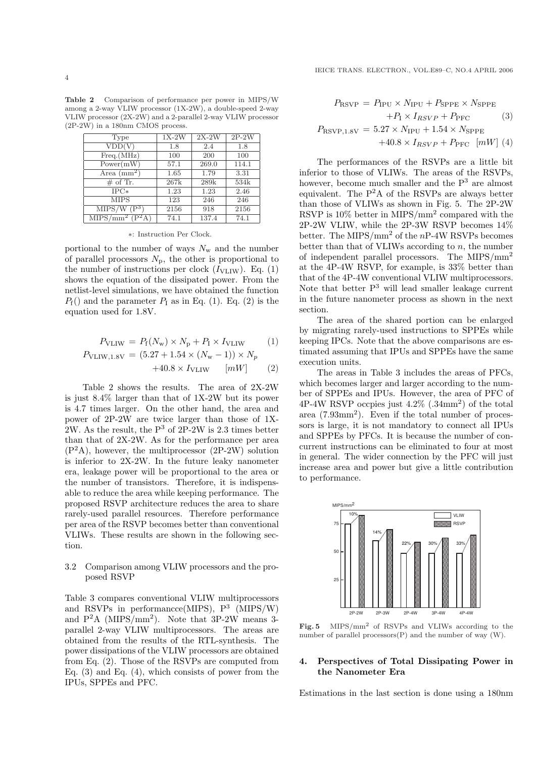Table 2 Comparison of performance per power in MIPS/W among a 2-way VLIW processor (1X-2W), a double-speed 2-way VLIW processor (2X-2W) and a 2-parallel 2-way VLIW processor (2P-2W) in a 180nm CMOS process.

| Type                          | $1X-2W$ | $2X-2W$ | $2P-2W$ |
|-------------------------------|---------|---------|---------|
| VDD(V)                        | 1.8     | 2.4     | 1.8     |
| Freq.(MHz)                    | 100     | 200     | 100     |
| Power(mW)                     | 57.1    | 269.0   | 114.1   |
| Area $\text{(mm)}^2$          | 1.65    | 1.79    | 3.31    |
| # of Tr.                      | 267k    | 289k    | 534k    |
| $_{\rm IPC*}$                 | 1.23    | 1.23    | 2.46    |
| <b>MIPS</b>                   | 123     | 246     | 246     |
| MIPS/W<br>$(\overline{P^3})$  | 2156    | 918     | 2156    |
| $MIP\overline{S/mm^2 (P^2A)}$ | 74.1    | 137.4   | 74.1    |

#### ∗: Instruction Per Clock.

portional to the number of ways  $N_{\rm w}$  and the number of parallel processors  $N_{\rm p}$ , the other is proportional to the number of instructions per clock  $(I_{\text{VLIW}})$ . Eq. (1) shows the equation of the dissipated power. From the netlist-level simulations, we have obtained the function  $P_f()$  and the parameter  $P_I$  as in Eq. (1). Eq. (2) is the equation used for 1.8V.

$$
P_{\text{VLIW}} = P_{\text{f}}(N_{\text{w}}) \times N_{\text{p}} + P_{\text{I}} \times I_{\text{VLIW}} \tag{1}
$$

$$
P_{\text{VLIW},1.8V} = (5.27 + 1.54 \times (N_{\text{w}} - 1)) \times N_p + 40.8 \times I_{\text{VLIW}} \quad [mW] \quad (2)
$$

Table 2 shows the results. The area of 2X-2W is just 8.4% larger than that of 1X-2W but its power is 4.7 times larger. On the other hand, the area and power of 2P-2W are twice larger than those of 1X- $2W$ . As the result, the P<sup>3</sup> of 2P-2W is 2.3 times better than that of 2X-2W. As for the performance per area  $(P<sup>2</sup>A)$ , however, the multiprocessor  $(2P-2W)$  solution is inferior to 2X-2W. In the future leaky nanometer era, leakage power will be proportional to the area or the number of transistors. Therefore, it is indispensable to reduce the area while keeping performance. The proposed RSVP architecture reduces the area to share rarely-used parallel resources. Therefore performance per area of the RSVP becomes better than conventional VLIWs. These results are shown in the following section.

## 3.2 Comparison among VLIW processors and the proposed RSVP

Table 3 compares conventional VLIW multiprocessors and RSVPs in performance (MIPS),  $P^3$  (MIPS/W) and  $P^2A$  (MIPS/mm<sup>2</sup>). Note that 3P-2W means 3parallel 2-way VLIW multiprocessors. The areas are obtained from the results of the RTL-synthesis. The power dissipations of the VLIW processors are obtained from Eq. (2). Those of the RSVPs are computed from Eq.  $(3)$  and Eq.  $(4)$ , which consists of power from the IPUs, SPPEs and PFC.

$$
P_{\text{RSVP}} = P_{\text{IPU}} \times N_{\text{IPU}} + P_{\text{SPPE}} \times N_{\text{SPPE}} + P_{\text{1}} \times I_{RSVP} + P_{\text{PFC}} \tag{3}
$$
\n
$$
P_{\text{RSVP},1.8V} = 5.27 \times N_{\text{IPU}} + 1.54 \times N_{\text{SPPE}} + 40.8 \times I_{RSVP} + P_{\text{PFC}} \quad [mW] \tag{4}
$$

The performances of the RSVPs are a little bit inferior to those of VLIWs. The areas of the RSVPs, however, become much smaller and the  $P<sup>3</sup>$  are almost equivalent. The  $P^2A$  of the RSVPs are always better than those of VLIWs as shown in Fig. 5. The 2P-2W RSVP is  $10\%$  better in MIPS/mm<sup>2</sup> compared with the 2P-2W VLIW, while the 2P-3W RSVP becomes 14% better. The MIPS/mm<sup>2</sup> of the  $nP-4W$  RSVPs becomes better than that of VLIWs according to  $n$ , the number of independent parallel processors. The MIPS/mm<sup>2</sup> at the 4P-4W RSVP, for example, is 33% better than that of the 4P-4W conventional VLIW multiprocessors. Note that better  $P<sup>3</sup>$  will lead smaller leakage current in the future nanometer process as shown in the next section.

The area of the shared portion can be enlarged by migrating rarely-used instructions to SPPEs while keeping IPCs. Note that the above comparisons are estimated assuming that IPUs and SPPEs have the same execution units.

The areas in Table 3 includes the areas of PFCs, which becomes larger and larger according to the number of SPPEs and IPUs. However, the area of PFC of  $4P-4W$  RSVP occpies just  $4.2\%$  (.34mm<sup>2</sup>) of the total area (7.93mm<sup>2</sup> ). Even if the total number of processors is large, it is not mandatory to connect all IPUs and SPPEs by PFCs. It is because the number of concurrent instructions can be eliminated to four at most in general. The wider connection by the PFC will just increase area and power but give a little contribution to performance.



Fig. 5 MIPS/mm<sup>2</sup> of RSVPs and VLIWs according to the number of parallel processors(P) and the number of way (W).

## 4. Perspectives of Total Dissipating Power in the Nanometer Era

Estimations in the last section is done using a 180nm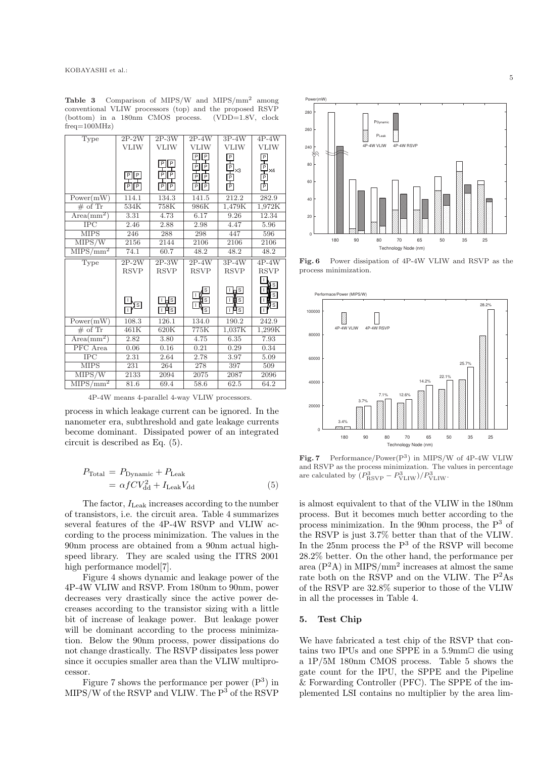Table 3 Comparison of MIPS/W and MIPS/mm<sup>2</sup> among conventional VLIW processors (top) and the proposed RSVP (bottom) in a 180nm CMOS process. (VDD=1.8V, clock  $frea=100MHz$ 

| Type                                  | $2P-2W$     | $2P-3W$                                   | $2P-4W$              | $3P-4W$      | $4P-4W$                 |
|---------------------------------------|-------------|-------------------------------------------|----------------------|--------------|-------------------------|
|                                       | <b>VLIW</b> | <b>VLIW</b>                               | <b>VLIW</b>          | <b>VLIW</b>  | <b>VLIW</b>             |
|                                       |             |                                           | $\vert P \vert$<br>P |              | 묀                       |
|                                       |             | $P$ $P$                                   | P<br>무               |              |                         |
|                                       | 민민          | $\overline{P}$ $\overline{P}$             | $\boxed{P}$<br>冋     |              | $\times4$               |
|                                       | PIP         | $\boxed{\mathsf{P}}$ $\boxed{\mathsf{P}}$ | PIP                  | UHUHUHU<br>Y | 마마                      |
|                                       |             |                                           |                      |              |                         |
| $Power(m\overline{W})$                | 114.1       | 134.3                                     | 141.5                | 212.2        | 282.9                   |
| $\overline{\# \text{ of } \text{Tr}}$ | 534K        | 758K                                      | 986K                 | 1,479K       | 1,972K                  |
| $Area(mm^2)$                          | 3.31        | 4.73                                      | 6.17                 | 9.26         | 12.34                   |
| $_{\rm IPC}$                          | 2.46        | 2.88                                      | 2.98                 | 4.47         | 5.96                    |
| $\overline{\text{MIPS}}$              | 246         | 288                                       | 298                  | 447          | 596                     |
| $\overline{\text{MIPS}}/\text{W}$     | 2156        | 2144                                      | 2106                 | 2106         | 2106                    |
| $MIPS/mm^2$                           | 74.1        | 60.7                                      | 48.2                 | 48.2         | 48.2                    |
| Type                                  | $2P-2W$     | $2P-3W$                                   | $2P-4W$              | $3P-4W$      | $4P-4W$                 |
|                                       | <b>RSVP</b> | <b>RSVP</b>                               | <b>RSVP</b>          | <b>RSVP</b>  | <b>RSVP</b>             |
|                                       |             |                                           |                      |              |                         |
|                                       |             |                                           | S                    | ⊥Hs          | Ιs                      |
|                                       |             | म्त्राड                                   | ß                    | $\Box$       | $\overline{\mathbf{s}}$ |
|                                       | डि          | भिङ∣                                      | $\mathbf S$          | Hs           | $\mathsf S$             |
|                                       |             |                                           |                      |              |                         |
| Power(mW)                             | 108.3       | 126.1                                     | 134.0                | 190.2        | 242.9                   |
| # of $Tr$                             | 461K        | 620K                                      | 775K                 | 1,037K       | 1,299K                  |
| $Area(mm^2)$                          | 2.82        | 3.80                                      | 4.75                 | 6.35         | 7.93                    |
| $\overline{\text{PFC}}$ Area          | 0.06        | 0.16                                      | 0.21                 | 0.29         | 0.34                    |
| $\overline{\text{IPC}}$               | 2.31        | 2.64                                      | 2.78                 | 3.97         | 5.09                    |
| <b>MIPS</b>                           | 231         | 264                                       | 278                  | 397          | 509                     |
| MIPS/W                                | 2133        | 2094                                      | 2075                 | 2087         | 2096                    |
| $\overline{\text{MIPS/mm}}^2$         | 81.6        | 69.4                                      | 58.6                 | 62.5         | 64.2                    |

4P-4W means 4-parallel 4-way VLIW processors.

process in which leakage current can be ignored. In the nanometer era, subthreshold and gate leakage currents become dominant. Dissipated power of an integrated circuit is described as Eq. (5).

$$
P_{\text{Total}} = P_{\text{Dynamic}} + P_{\text{Leak}} = \alpha f C V_{\text{dd}}^2 + I_{\text{Leak}} V_{\text{dd}}
$$
 (5)

The factor,  $I_{\text{Leak}}$  increases according to the number of transistors, i.e. the circuit area. Table 4 summarizes several features of the 4P-4W RSVP and VLIW according to the process minimization. The values in the 90nm process are obtained from a 90nm actual highspeed library. They are scaled using the ITRS 2001 high performance model[7].

Figure 4 shows dynamic and leakage power of the 4P-4W VLIW and RSVP. From 180nm to 90nm, power decreases very drastically since the active power decreases according to the transistor sizing with a little bit of increase of leakage power. But leakage power will be dominant according to the process minimization. Below the 90nm process, power dissipations do not change drastically. The RSVP dissipates less power since it occupies smaller area than the VLIW multiprocessor.

Figure 7 shows the performance per power  $(P<sup>3</sup>)$  in MIPS/W of the RSVP and VLIW. The P<sup>3</sup> of the RSVP



Fig. 6 Power dissipation of 4P-4W VLIW and RSVP as the process minimization.



Fig. 7 Performance/Power $(P^3)$  in MIPS/W of 4P-4W VLIW and RSVP as the process minimization. The values in percentage are calculated by  $(P_{\text{RSVP}}^3 - P_{\text{VLIW}}^3)/P_{\text{VLIW}}^3$ .

is almost equivalent to that of the VLIW in the 180nm process. But it becomes much better according to the process minimization. In the 90nm process, the  $P<sup>3</sup>$  of the RSVP is just 3.7% better than that of the VLIW. In the 25nm process the  $P^3$  of the RSVP will become 28.2% better. On the other hand, the performance per area  $(P^2A)$  in MIPS/mm<sup>2</sup> increases at almost the same rate both on the RSVP and on the VLIW. The P<sup>2</sup>As of the RSVP are 32.8% superior to those of the VLIW in all the processes in Table 4.

## 5. Test Chip

We have fabricated a test chip of the RSVP that contains two IPUs and one SPPE in a 5.9mm $\Box$  die using a 1P/5M 180nm CMOS process. Table 5 shows the gate count for the IPU, the SPPE and the Pipeline & Forwarding Controller (PFC). The SPPE of the implemented LSI contains no multiplier by the area lim-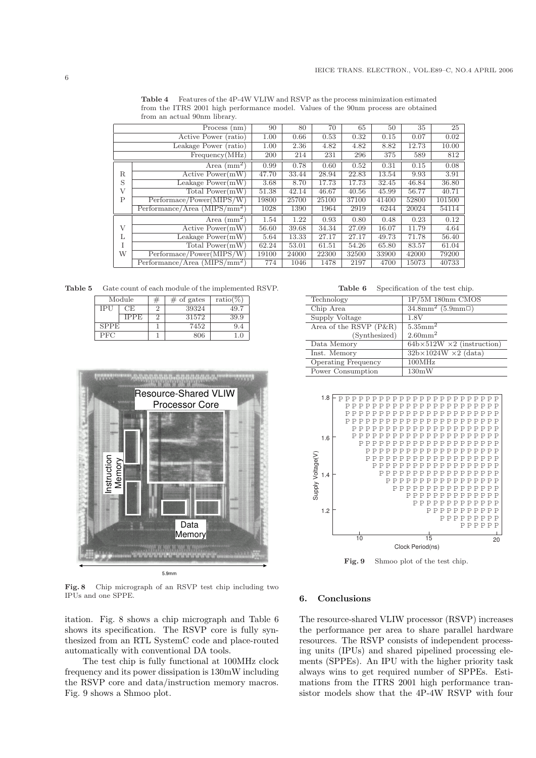|                                | Process (nm)                         | 90    | 80    | 70    | 65    | 50    | 35    | 25     |
|--------------------------------|--------------------------------------|-------|-------|-------|-------|-------|-------|--------|
| Active Power (ratio)           |                                      | 1.00  | 0.66  | 0.53  | 0.32  | 0.15  | 0.07  | 0.02   |
|                                | Leakage Power (ratio)                | 1.00  | 2.36  | 4.82  | 4.82  | 8.82  | 12.73 | 10.00  |
|                                | Frequency(MHz)                       | 200   | 214   | 231   | 296   | 375   | 589   | 812    |
|                                | Area $\text{(mm)}^2$                 | 0.99  | 0.78  | 0.60  | 0.52  | 0.31  | 0.15  | 0.08   |
| R.                             | Active Power(mW)                     | 47.70 | 33.44 | 28.94 | 22.83 | 13.54 | 9.93  | 3.91   |
| S                              | Leakage $Power(mW)$                  | 3.68  | 8.70  | 17.73 | 17.73 | 32.45 | 46.84 | 36.80  |
| V                              | Total Power(mW)                      | 51.38 | 42.14 | 46.67 | 40.56 | 45.99 | 56.77 | 40.71  |
| $\mathsf{P}$                   | Performance/Power(MIPS/W)            | 19800 | 25700 | 25100 | 37100 | 41400 | 52800 | 101500 |
| $Performance/Area (MIPS/mm^2)$ |                                      | 1028  | 1390  | 1964  | 2919  | 6244  | 20024 | 54114  |
|                                | Area $\text{(mm}^2)$                 | 1.54  | 1.22  | 0.93  | 0.80  | 0.48  | 0.23  | 0.12   |
| V                              | $\overline{\text{Active Power}}(mW)$ | 56.60 | 39.68 | 34.34 | 27.09 | 16.07 | 11.79 | 4.64   |
| L                              | Leakage $Power(mW)$                  | 5.64  | 13.33 | 27.17 | 27.17 | 49.73 | 71.78 | 56.40  |
| T                              | Total $Power(mW)$                    | 62.24 | 53.01 | 61.51 | 54.26 | 65.80 | 83.57 | 61.04  |
| W                              | Performance/Power(MIPS/W)            | 19100 | 24000 | 22300 | 32500 | 33900 | 42000 | 79200  |
|                                | Performance/Area $(MIPS/mm^2)$       | 774   | 1046  | 1478  | 2197  | 4700  | 15073 | 40733  |

Table 4 Features of the 4P-4W VLIW and RSVP as the process minimization estimated from the ITRS 2001 high performance model. Values of the 90nm process are obtained from an actual 90nm library.

Table 5 Gate count of each module of the implemented RSVP.

|             | Module | $#$ of gates | ratio(%) |
|-------------|--------|--------------|----------|
| IPU         | CE     | 39324        | 49.7     |
|             | IPPE   | 31572        | 39.9     |
| <b>SPPE</b> |        | 7452         | 9.4      |
| <b>PFC</b>  |        | 806          |          |



Fig. 8 Chip micrograph of an RSVP test chip including two IPUs and one SPPE.

itation. Fig. 8 shows a chip micrograph and Table 6 shows its specification. The RSVP core is fully synthesized from an RTL SystemC code and place-routed automatically with conventional DA tools.

The test chip is fully functional at 100MHz clock frequency and its power dissipation is 130mW including the RSVP core and data/instruction memory macros. Fig. 9 shows a Shmoo plot.

Table 6 Specification of the test chip.

| Technology                 | $1P/5M$ 180nm CMOS                       |
|----------------------------|------------------------------------------|
| Chip Area                  | 34.8mm <sup>2</sup> (5.9mm $\Box$ )      |
| Supply Voltage             | 1.8V                                     |
| Area of the RSVP (P&R)     | $5.35$ mm <sup>2</sup>                   |
| (Synthesized)              | $2.60$ mm <sup>2</sup>                   |
| Data Memory                | $64b \times 512W \times 2$ (instruction) |
| Inst. Memory               | $32b \times 1024W \times 2$ (data)       |
| <b>Operating Frequency</b> | 100MHz                                   |
| Power Consumption          | 130mW                                    |



Fig. 9 Shmoo plot of the test chip.

#### 6. Conclusions

The resource-shared VLIW processor (RSVP) increases the performance per area to share parallel hardware resources. The RSVP consists of independent processing units (IPUs) and shared pipelined processing elements (SPPEs). An IPU with the higher priority task always wins to get required number of SPPEs. Estimations from the ITRS 2001 high performance transistor models show that the 4P-4W RSVP with four